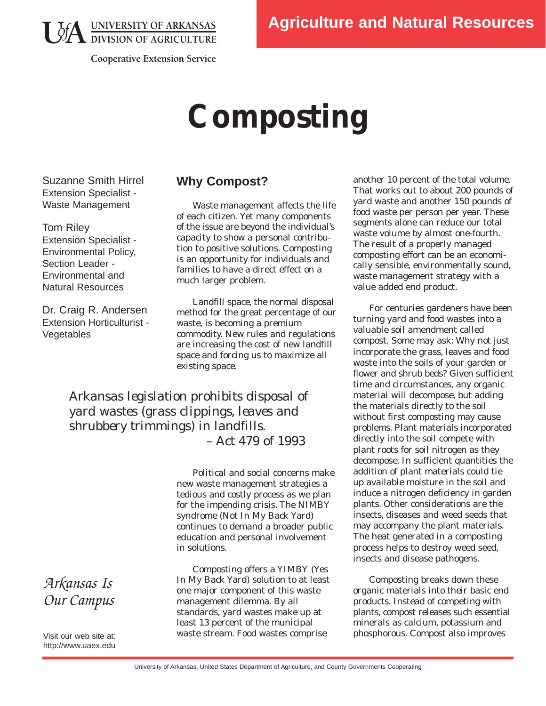**LA UNIVERSITY OF ARKANSAS**<br>DIVISION OF AGRICULTURE

**Cooperative Extension Service** 

# **Composting**

Suzanne Smith Hirrel Extension Specialist - Waste Management

Tom Riley Extension Specialist - Environmental Policy, Section Leader - Environmental and Natural Resources

Dr. Craig R. Andersen Extension Horticulturist - Vegetables

# **Why Compost?**

Waste management affects the life of each citizen. Yet many components of the issue are beyond the individual's capacity to show a personal contribution to positive solutions. Composting is an opportunity for individuals and families to have a direct effect on a much larger problem.

Landfill space, the normal disposal method for the great percentage of our waste, is becoming a premium commodity. New rules and regulations are increasing the cost of new landfill space and forcing us to maximize all existing space.

*Arkansas legislation prohibits disposal of yard wastes (grass clippings, leaves and shrubbery trimmings) in landfills. – Act 479 of 1993* 

> Political and social concerns make new waste management strategies a tedious and costly process as we plan for the impending crisis. The NIMBY syndrome (Not In My Back Yard) continues to demand a broader public education and personal involvement in solutions.

Composting offers a YIMBY (Yes In My Back Yard) solution to at least one major component of this waste management dilemma. By all standards, yard wastes make up at least 13 percent of the municipal waste stream. Food wastes comprise

another 10 percent of the total volume. That works out to about 200 pounds of yard waste and another 150 pounds of food waste per person per year. These segments alone can reduce our total waste volume by almost one-fourth. The result of a properly managed composting effort can be an economically sensible, environmentally sound, waste management strategy with a value added end product.

For centuries gardeners have been turning yard and food wastes into a valuable soil amendment called compost. Some may ask: Why not just incorporate the grass, leaves and food waste into the soils of your garden or flower and shrub beds? Given sufficient time and circumstances, any organic material will decompose, but adding the materials directly to the soil without first composting may cause problems. Plant materials incorporated directly into the soil compete with plant roots for soil nitrogen as they decompose. In sufficient quantities the addition of plant materials could tie up available moisture in the soil and induce a nitrogen deficiency in garden plants. Other considerations are the insects, diseases and weed seeds that may accompany the plant materials. The heat generated in a composting process helps to destroy weed seed, insects and disease pathogens.

Composting breaks down these organic materials into their basic end products. Instead of competing with plants, compost releases such essential minerals as calcium, potassium and phosphorous. Compost also improves

*Arkansas Is Our Campus*

Visit our web site at: http://www.uaex.edu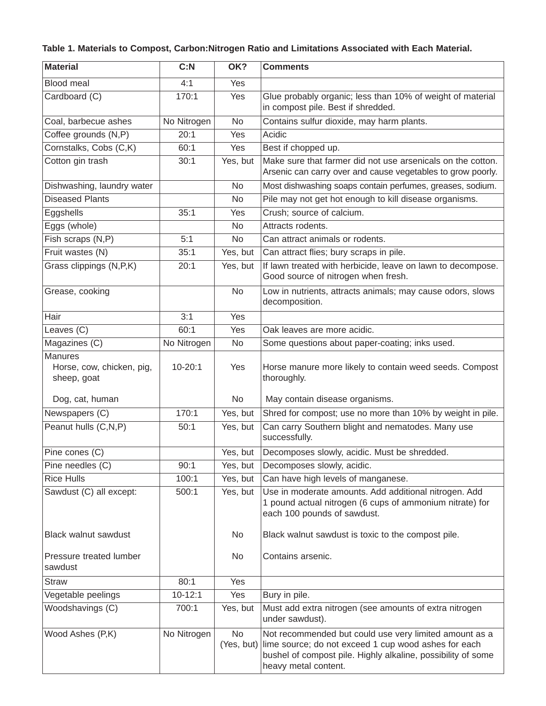## **Table 1. Materials to Compost, Carbon:Nitrogen Ratio and Limitations Associated with Each Material.**

| <b>Material</b>                                            | C: N        | OK?                     | <b>Comments</b>                                                                                                                                                                                        |
|------------------------------------------------------------|-------------|-------------------------|--------------------------------------------------------------------------------------------------------------------------------------------------------------------------------------------------------|
| Blood meal                                                 | 4:1         | <b>Yes</b>              |                                                                                                                                                                                                        |
| Cardboard (C)                                              | 170:1       | Yes                     | Glue probably organic; less than 10% of weight of material<br>in compost pile. Best if shredded.                                                                                                       |
| Coal, barbecue ashes                                       | No Nitrogen | No                      | Contains sulfur dioxide, may harm plants.                                                                                                                                                              |
| Coffee grounds (N,P)                                       | 20:1        | Yes                     | Acidic                                                                                                                                                                                                 |
| Cornstalks, Cobs (C,K)                                     | 60:1        | Yes                     | Best if chopped up.                                                                                                                                                                                    |
| Cotton gin trash                                           | 30:1        | Yes, but                | Make sure that farmer did not use arsenicals on the cotton.<br>Arsenic can carry over and cause vegetables to grow poorly.                                                                             |
| Dishwashing, laundry water                                 |             | <b>No</b>               | Most dishwashing soaps contain perfumes, greases, sodium.                                                                                                                                              |
| <b>Diseased Plants</b>                                     |             | <b>No</b>               | Pile may not get hot enough to kill disease organisms.                                                                                                                                                 |
| Eggshells                                                  | 35:1        | Yes                     | Crush; source of calcium.                                                                                                                                                                              |
| Eggs (whole)                                               |             | <b>No</b>               | Attracts rodents.                                                                                                                                                                                      |
| Fish scraps (N,P)                                          | 5:1         | <b>No</b>               | Can attract animals or rodents.                                                                                                                                                                        |
| Fruit wastes (N)                                           | 35:1        | Yes, but                | Can attract flies; bury scraps in pile.                                                                                                                                                                |
| Grass clippings (N,P,K)                                    | 20:1        | Yes, but                | If lawn treated with herbicide, leave on lawn to decompose.<br>Good source of nitrogen when fresh.                                                                                                     |
| Grease, cooking                                            |             | <b>No</b>               | Low in nutrients, attracts animals; may cause odors, slows<br>decomposition.                                                                                                                           |
| Hair                                                       | 3:1         | Yes                     |                                                                                                                                                                                                        |
| Leaves (C)                                                 | 60:1        | Yes                     | Oak leaves are more acidic.                                                                                                                                                                            |
| Magazines (C)                                              | No Nitrogen | No                      | Some questions about paper-coating; inks used.                                                                                                                                                         |
| <b>Manures</b><br>Horse, cow, chicken, pig,<br>sheep, goat | $10 - 20:1$ | Yes                     | Horse manure more likely to contain weed seeds. Compost<br>thoroughly.                                                                                                                                 |
| Dog, cat, human                                            |             | No                      | May contain disease organisms.                                                                                                                                                                         |
| Newspapers (C)                                             | 170:1       | Yes, but                | Shred for compost; use no more than 10% by weight in pile.                                                                                                                                             |
| Peanut hulls (C,N,P)                                       | 50:1        | Yes, but                | Can carry Southern blight and nematodes. Many use<br>successfully.                                                                                                                                     |
| Pine cones (C)                                             |             | Yes, but                | Decomposes slowly, acidic. Must be shredded.                                                                                                                                                           |
| Pine needles (C)                                           | 90:1        | Yes, but                | Decomposes slowly, acidic.                                                                                                                                                                             |
| <b>Rice Hulls</b>                                          | 100:1       | Yes, but                | Can have high levels of manganese.                                                                                                                                                                     |
| Sawdust (C) all except:                                    | 500:1       | Yes, but                | Use in moderate amounts. Add additional nitrogen. Add<br>1 pound actual nitrogen (6 cups of ammonium nitrate) for<br>each 100 pounds of sawdust.                                                       |
| Black walnut sawdust                                       |             | No                      | Black walnut sawdust is toxic to the compost pile.                                                                                                                                                     |
| Pressure treated lumber<br>sawdust                         |             | No                      | Contains arsenic.                                                                                                                                                                                      |
| <b>Straw</b>                                               | 80:1        | Yes                     |                                                                                                                                                                                                        |
| Vegetable peelings                                         | $10 - 12:1$ | Yes                     | Bury in pile.                                                                                                                                                                                          |
| Woodshavings (C)                                           | 700:1       | Yes, but                | Must add extra nitrogen (see amounts of extra nitrogen<br>under sawdust).                                                                                                                              |
| Wood Ashes (P,K)                                           | No Nitrogen | <b>No</b><br>(Yes, but) | Not recommended but could use very limited amount as a<br>lime source; do not exceed 1 cup wood ashes for each<br>bushel of compost pile. Highly alkaline, possibility of some<br>heavy metal content. |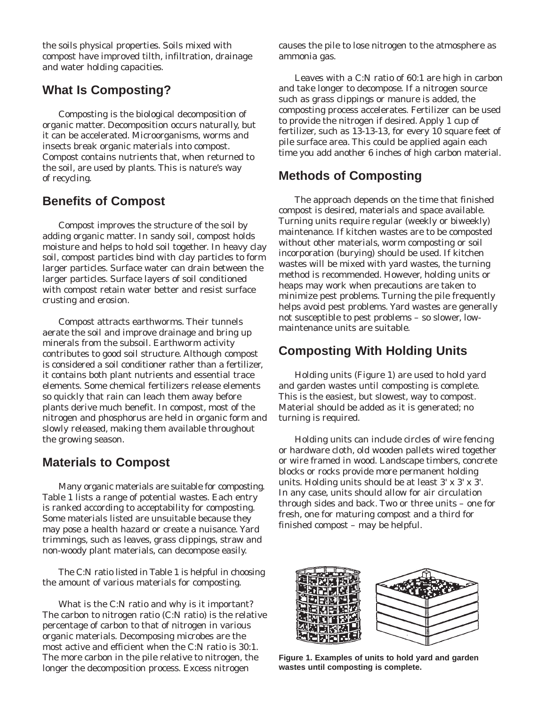the soils physical properties. Soils mixed with compost have improved tilth, infiltration, drainage and water holding capacities.

# **What Is Composting?**

Composting is the biological decomposition of organic matter. Decomposition occurs naturally, but it can be accelerated. Microorganisms, worms and insects break organic materials into compost. Compost contains nutrients that, when returned to the soil, are used by plants. This is nature's way of recycling.

## **Benefits of Compost**

Compost improves the structure of the soil by adding organic matter. In sandy soil, compost holds moisture and helps to hold soil together. In heavy clay soil, compost particles bind with clay particles to form larger particles. Surface water can drain between the larger particles. Surface layers of soil conditioned with compost retain water better and resist surface crusting and erosion.

Compost attracts earthworms. Their tunnels aerate the soil and improve drainage and bring up minerals from the subsoil. Earthworm activity contributes to good soil structure. Although compost is considered a soil conditioner rather than a fertilizer, it contains both plant nutrients and essential trace elements. Some chemical fertilizers release elements so quickly that rain can leach them away before plants derive much benefit. In compost, most of the nitrogen and phosphorus are held in organic form and slowly released, making them available throughout the growing season.

## **Materials to Compost**

Many organic materials are suitable for composting. Table 1 lists a range of potential wastes. Each entry is ranked according to acceptability for composting. Some materials listed are unsuitable because they may pose a health hazard or create a nuisance. Yard trimmings, such as leaves, grass clippings, straw and non-woody plant materials, can decompose easily.

The C:N ratio listed in Table 1 is helpful in choosing the amount of various materials for composting.

What is the C:N ratio and why is it important? The carbon to nitrogen ratio (C:N ratio) is the relative percentage of carbon to that of nitrogen in various organic materials. Decomposing microbes are the most active and efficient when the C:N ratio is 30:1. The more carbon in the pile relative to nitrogen, the longer the decomposition process. Excess nitrogen

causes the pile to lose nitrogen to the atmosphere as ammonia gas.

Leaves with a C:N ratio of 60:1 are high in carbon and take longer to decompose. If a nitrogen source such as grass clippings or manure is added, the composting process accelerates. Fertilizer can be used to provide the nitrogen if desired. Apply 1 cup of fertilizer, such as 13-13-13, for every 10 square feet of pile surface area. This could be applied again each time you add another 6 inches of high carbon material.

## **Methods of Composting**

The approach depends on the time that finished compost is desired, materials and space available. Turning units require regular (weekly or biweekly) maintenance. If kitchen wastes are to be composted without other materials, worm composting or soil incorporation (burying) should be used. If kitchen wastes will be mixed with yard wastes, the turning method is recommended. However, holding units or heaps may work when precautions are taken to minimize pest problems. Turning the pile frequently helps avoid pest problems. Yard wastes are generally not susceptible to pest problems – so slower, lowmaintenance units are suitable.

## **Composting With Holding Units**

Holding units (Figure 1) are used to hold yard and garden wastes until composting is complete. This is the easiest, but slowest, way to compost. Material should be added as it is generated; no turning is required.

Holding units can include circles of wire fencing or hardware cloth, old wooden pallets wired together or wire framed in wood. Landscape timbers, concrete blocks or rocks provide more permanent holding units. Holding units should be at least 3' x 3' x 3'. In any case, units should allow for air circulation through sides and back. Two or three units – one for fresh, one for maturing compost and a third for finished compost – may be helpful.



**Figure 1. Examples of units to hold yard and garden wastes until composting is complete.**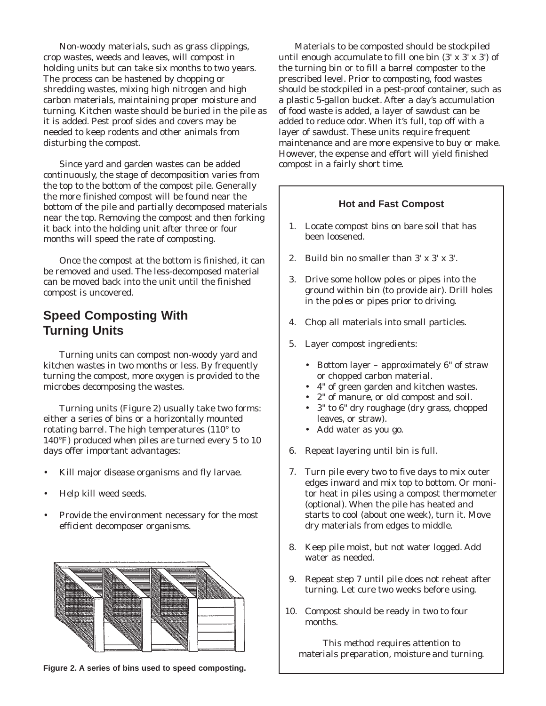Non-woody materials, such as grass clippings, crop wastes, weeds and leaves, will compost in holding units but can take six months to two years. The process can be hastened by chopping or shredding wastes, mixing high nitrogen and high carbon materials, maintaining proper moisture and turning. Kitchen waste should be buried in the pile as it is added. Pest proof sides and covers may be needed to keep rodents and other animals from disturbing the compost.

Since yard and garden wastes can be added continuously, the stage of decomposition varies from the top to the bottom of the compost pile. Generally the more finished compost will be found near the bottom of the pile and partially decomposed materials near the top. Removing the compost and then forking it back into the holding unit after three or four months will speed the rate of composting.

Once the compost at the bottom is finished, it can be removed and used. The less-decomposed material can be moved back into the unit until the finished compost is uncovered.

# **Speed Composting With Turning Units**

Turning units can compost non-woody yard and kitchen wastes in two months or less. By frequently turning the compost, more oxygen is provided to the microbes decomposing the wastes.

Turning units (Figure 2) usually take two forms: either a series of bins or a horizontally mounted rotating barrel. The high temperatures (110° to 140°F) produced when piles are turned every 5 to 10 days offer important advantages:

- Kill major disease organisms and fly larvae.
- Help kill weed seeds.
- Provide the environment necessary for the most efficient decomposer organisms.



**Figure 2. A series of bins used to speed composting.** 

Materials to be composted should be stockpiled until enough accumulate to fill one bin (3' x 3' x 3') of the turning bin or to fill a barrel composter to the prescribed level. Prior to composting, food wastes should be stockpiled in a pest-proof container, such as a plastic 5-gallon bucket. After a day's accumulation of food waste is added, a layer of sawdust can be added to reduce odor. When it's full, top off with a layer of sawdust. These units require frequent maintenance and are more expensive to buy or make. However, the expense and effort will yield finished compost in a fairly short time.

#### **Hot and Fast Compost**

- 1. Locate compost bins on bare soil that has been loosened.
- 2. Build bin no smaller than  $3' \times 3' \times 3'$ .
- 3. Drive some hollow poles or pipes into the ground within bin (to provide air). Drill holes in the poles or pipes prior to driving.
- 4. Chop all materials into small particles.
- 5. Layer compost ingredients:
	- Bottom layer approximately  $6"$  of straw or chopped carbon material.
	- • 4" of green garden and kitchen wastes.
	- • 2" of manure, or old compost and soil.
	- • 3" to 6" dry roughage (dry grass, chopped leaves, or straw).
	- • Add water as you go.
- 6. Repeat layering until bin is full.
- 7. Turn pile every two to five days to mix outer edges inward and mix top to bottom. Or monitor heat in piles using a compost thermometer (optional). When the pile has heated and starts to cool (about one week), turn it. Move dry materials from edges to middle.
- 8. Keep pile moist, but not water logged. Add water as needed.
- 9. Repeat step 7 until pile does not reheat after turning. Let cure two weeks before using.
- 10. Compost should be ready in two to four months.

*This method requires attention to materials preparation, moisture and turning.*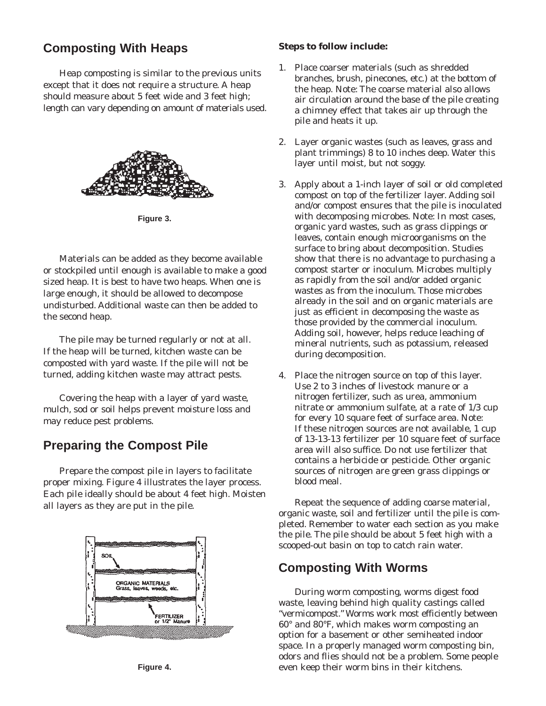# **Composting With Heaps**

Heap composting is similar to the previous units except that it does not require a structure. A heap should measure about 5 feet wide and 3 feet high; length can vary depending on amount of materials used.



**Figure 3.** 

Materials can be added as they become available or stockpiled until enough is available to make a good sized heap. It is best to have two heaps. When one is large enough, it should be allowed to decompose undisturbed. Additional waste can then be added to the second heap.

The pile may be turned regularly or not at all. If the heap will be turned, kitchen waste can be composted with yard waste. If the pile will not be turned, adding kitchen waste may attract pests.

Covering the heap with a layer of yard waste, mulch, sod or soil helps prevent moisture loss and may reduce pest problems.

# **Preparing the Compost Pile**

Prepare the compost pile in layers to facilitate proper mixing. Figure 4 illustrates the layer process. Each pile ideally should be about 4 feet high. Moisten all layers as they are put in the pile.



#### **Steps to follow include:**

- 1. Place coarser materials (such as shredded branches, brush, pinecones, etc.) at the bottom of the heap. Note: The coarse material also allows air circulation around the base of the pile creating a chimney effect that takes air up through the pile and heats it up.
- 2. Layer organic wastes (such as leaves, grass and plant trimmings) 8 to 10 inches deep. Water this layer until moist, but not soggy.
- 3. Apply about a 1-inch layer of soil or old completed compost on top of the fertilizer layer. Adding soil and/or compost ensures that the pile is inoculated with decomposing microbes. Note: In most cases, organic yard wastes, such as grass clippings or leaves, contain enough microorganisms on the surface to bring about decomposition. Studies show that there is no advantage to purchasing a compost starter or inoculum. Microbes multiply as rapidly from the soil and/or added organic wastes as from the inoculum. Those microbes already in the soil and on organic materials are just as efficient in decomposing the waste as those provided by the commercial inoculum. Adding soil, however, helps reduce leaching of mineral nutrients, such as potassium, released during decomposition.
- 4. Place the nitrogen source on top of this layer. Use 2 to 3 inches of livestock manure or a nitrogen fertilizer, such as urea, ammonium nitrate or ammonium sulfate, at a rate of 1/3 cup for every 10 square feet of surface area. Note: If these nitrogen sources are not available, 1 cup of 13-13-13 fertilizer per 10 square feet of surface area will also suffice. Do not use fertilizer that contains a herbicide or pesticide. Other organic sources of nitrogen are green grass clippings or blood meal.

Repeat the sequence of adding coarse material, organic waste, soil and fertilizer until the pile is completed. Remember to water each section as you make the pile. The pile should be about 5 feet high with a scooped-out basin on top to catch rain water.

## **Composting With Worms**

During worm composting, worms digest food waste, leaving behind high quality castings called "vermicompost." Worms work most efficiently between 60° and 80°F, which makes worm composting an option for a basement or other semiheated indoor space. In a properly managed worm composting bin, odors and flies should not be a problem. Some people even keep their worm bins in their kitchens.

**Figure 4.**